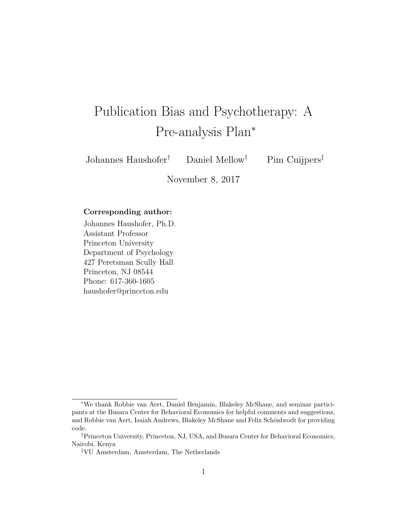# Publication Bias and Psychotherapy: A Pre-analysis Plan<sup>∗</sup>

Johannes Haushofer† Daniel Mellow† Pim Cuijpers‡

November 8, 2017

#### Corresponding author:

Johannes Haushofer, Ph.D. Assistant Professor Princeton University Department of Psychology 427 Peretsman Scully Hall Princeton, NJ 08544 Phone: 617-360-1605 haushofer@princeton.edu

<sup>∗</sup>We thank Robbie van Aert, Daniel Benjamin, Blakeley McShane, and seminar participants at the Busara Center for Behavioral Economics for helpful comments and suggestions, and Robbie van Aert, Isaiah Andrews, Blakeley McShane and Felix Schönbrodt for providing code.

<sup>†</sup>Princeton University, Princeton, NJ, USA, and Busara Center for Behavioral Economics, Nairobi, Kenya

<sup>‡</sup>VU Amsterdam, Amsterdam, The Netherlands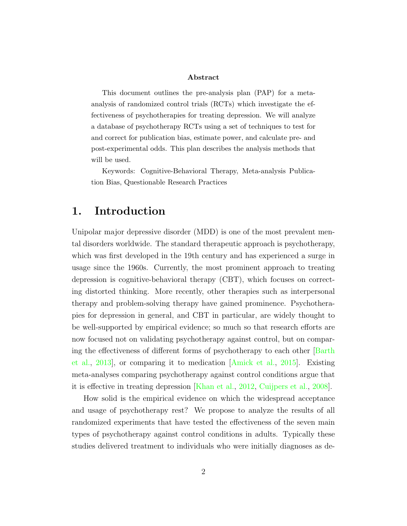#### Abstract

This document outlines the pre-analysis plan (PAP) for a metaanalysis of randomized control trials (RCTs) which investigate the effectiveness of psychotherapies for treating depression. We will analyze a database of psychotherapy RCTs using a set of techniques to test for and correct for publication bias, estimate power, and calculate pre- and post-experimental odds. This plan describes the analysis methods that will be used.

Keywords: Cognitive-Behavioral Therapy, Meta-analysis Publication Bias, Questionable Research Practices

# 1. Introduction

Unipolar major depressive disorder (MDD) is one of the most prevalent mental disorders worldwide. The standard therapeutic approach is psychotherapy, which was first developed in the 19th century and has experienced a surge in usage since the 1960s. Currently, the most prominent approach to treating depression is cognitive-behavioral therapy (CBT), which focuses on correcting distorted thinking. More recently, other therapies such as interpersonal therapy and problem-solving therapy have gained prominence. Psychotherapies for depression in general, and CBT in particular, are widely thought to be well-supported by empirical evidence; so much so that research efforts are now focused not on validating psychotherapy against control, but on comparing the effectiveness of different forms of psychotherapy to each other [\[Barth](#page-10-0) [et al.,](#page-10-0) [2013\]](#page-10-0), or comparing it to medication [\[Amick et al.,](#page-10-1) [2015\]](#page-10-1). Existing meta-analyses comparing psychotherapy against control conditions argue that it is effective in treating depression [\[Khan et al.,](#page-11-0) [2012,](#page-11-0) [Cuijpers et al.,](#page-11-1) [2008\]](#page-11-1).

How solid is the empirical evidence on which the widespread acceptance and usage of psychotherapy rest? We propose to analyze the results of all randomized experiments that have tested the effectiveness of the seven main types of psychotherapy against control conditions in adults. Typically these studies delivered treatment to individuals who were initially diagnoses as de-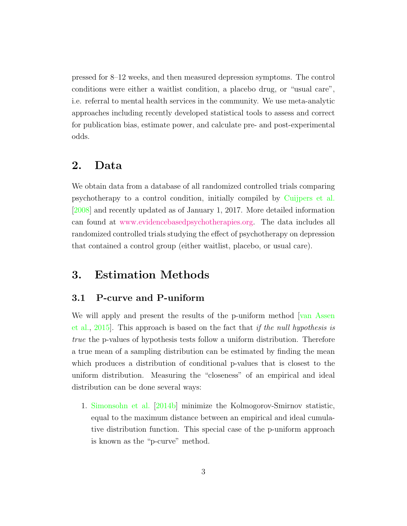pressed for 8–12 weeks, and then measured depression symptoms. The control conditions were either a waitlist condition, a placebo drug, or "usual care", i.e. referral to mental health services in the community. We use meta-analytic approaches including recently developed statistical tools to assess and correct for publication bias, estimate power, and calculate pre- and post-experimental odds.

## 2. Data

We obtain data from a database of all randomized controlled trials comparing psychotherapy to a control condition, initially compiled by [Cuijpers et al.](#page-11-1) [\[2008\]](#page-11-1) and recently updated as of January 1, 2017. More detailed information can found at [www.evidencebasedpsychotherapies.org.](http://www.evidencebasedpsychotherapies.org/) The data includes all randomized controlled trials studying the effect of psychotherapy on depression that contained a control group (either waitlist, placebo, or usual care).

# 3. Estimation Methods

#### <span id="page-2-0"></span>3.1 P-curve and P-uniform

We will apply and present the results of the p-uniform method [\[van Assen](#page-12-0) [et al.,](#page-12-0) [2015\]](#page-12-0). This approach is based on the fact that if the null hypothesis is true the p-values of hypothesis tests follow a uniform distribution. Therefore a true mean of a sampling distribution can be estimated by finding the mean which produces a distribution of conditional p-values that is closest to the uniform distribution. Measuring the "closeness" of an empirical and ideal distribution can be done several ways:

1. [Simonsohn et al.](#page-11-2) [\[2014b\]](#page-11-2) minimize the Kolmogorov-Smirnov statistic, equal to the maximum distance between an empirical and ideal cumulative distribution function. This special case of the p-uniform approach is known as the "p-curve" method.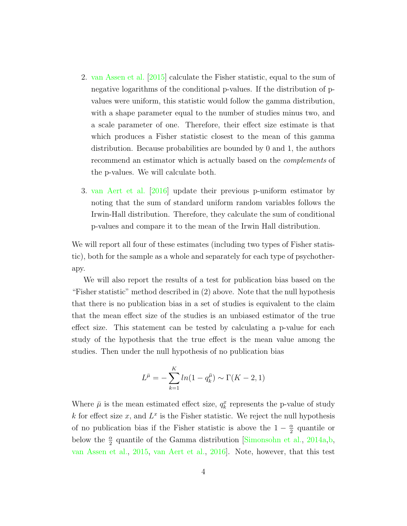- 2. [van Assen et al.](#page-12-0) [\[2015\]](#page-12-0) calculate the Fisher statistic, equal to the sum of negative logarithms of the conditional p-values. If the distribution of pvalues were uniform, this statistic would follow the gamma distribution, with a shape parameter equal to the number of studies minus two, and a scale parameter of one. Therefore, their effect size estimate is that which produces a Fisher statistic closest to the mean of this gamma distribution. Because probabilities are bounded by 0 and 1, the authors recommend an estimator which is actually based on the complements of the p-values. We will calculate both.
- 3. [van Aert et al.](#page-12-1) [\[2016\]](#page-12-1) update their previous p-uniform estimator by noting that the sum of standard uniform random variables follows the Irwin-Hall distribution. Therefore, they calculate the sum of conditional p-values and compare it to the mean of the Irwin Hall distribution.

We will report all four of these estimates (including two types of Fisher statistic), both for the sample as a whole and separately for each type of psychotherapy.

We will also report the results of a test for publication bias based on the "Fisher statistic" method described in (2) above. Note that the null hypothesis that there is no publication bias in a set of studies is equivalent to the claim that the mean effect size of the studies is an unbiased estimator of the true effect size. This statement can be tested by calculating a p-value for each study of the hypothesis that the true effect is the mean value among the studies. Then under the null hypothesis of no publication bias

$$
L^{\bar{\mu}} = -\sum_{k=1}^{K} ln(1 - q_k^{\bar{\mu}}) \sim \Gamma(K - 2, 1)
$$

Where  $\bar{\mu}$  is the mean estimated effect size,  $q_k^x$  represents the p-value of study k for effect size x, and  $L^x$  is the Fisher statistic. We reject the null hypothesis of no publication bias if the Fisher statistic is above the  $1-\frac{\alpha}{2}$  $\frac{\alpha}{2}$  quantile or below the  $\frac{\alpha}{2}$  quantile of the Gamma distribution [\[Simonsohn et al.,](#page-11-3) [2014a,](#page-11-3)[b,](#page-11-2) [van Assen et al.,](#page-12-0) [2015,](#page-12-0) [van Aert et al.,](#page-12-1) [2016\]](#page-12-1). Note, however, that this test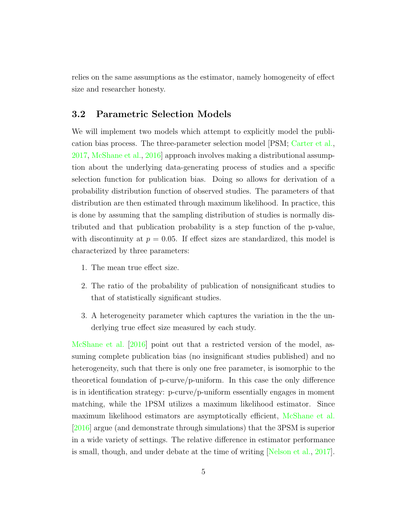relies on the same assumptions as the estimator, namely homogeneity of effect size and researcher honesty.

#### <span id="page-4-0"></span>3.2 Parametric Selection Models

We will implement two models which attempt to explicitly model the publication bias process. The three-parameter selection model [PSM; [Carter et al.,](#page-10-2) [2017,](#page-10-2) [McShane et al.,](#page-11-4) [2016\]](#page-11-4) approach involves making a distributional assumption about the underlying data-generating process of studies and a specific selection function for publication bias. Doing so allows for derivation of a probability distribution function of observed studies. The parameters of that distribution are then estimated through maximum likelihood. In practice, this is done by assuming that the sampling distribution of studies is normally distributed and that publication probability is a step function of the p-value, with discontinuity at  $p = 0.05$ . If effect sizes are standardized, this model is characterized by three parameters:

- 1. The mean true effect size.
- 2. The ratio of the probability of publication of nonsignificant studies to that of statistically significant studies.
- 3. A heterogeneity parameter which captures the variation in the the underlying true effect size measured by each study.

[McShane et al.](#page-11-4) [\[2016\]](#page-11-4) point out that a restricted version of the model, assuming complete publication bias (no insignificant studies published) and no heterogeneity, such that there is only one free parameter, is isomorphic to the theoretical foundation of p-curve/p-uniform. In this case the only difference is in identification strategy: p-curve/p-uniform essentially engages in moment matching, while the 1PSM utilizes a maximum likelihood estimator. Since maximum likelihood estimators are asymptotically efficient, [McShane et al.](#page-11-4) [\[2016\]](#page-11-4) argue (and demonstrate through simulations) that the 3PSM is superior in a wide variety of settings. The relative difference in estimator performance is small, though, and under debate at the time of writing [\[Nelson et al.,](#page-11-5) [2017\]](#page-11-5).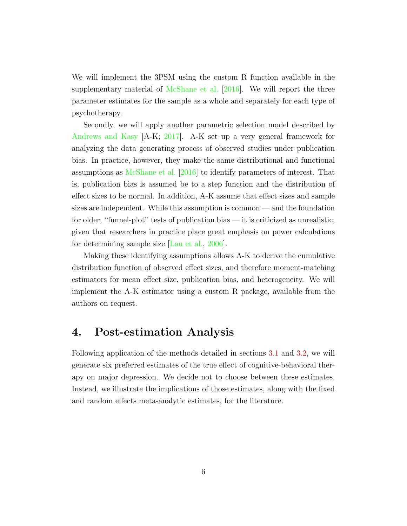We will implement the 3PSM using the custom R function available in the supplementary material of [McShane et al.](#page-11-4) [\[2016\]](#page-11-4). We will report the three parameter estimates for the sample as a whole and separately for each type of psychotherapy.

Secondly, we will apply another parametric selection model described by [Andrews and Kasy](#page-10-3) [A-K; [2017\]](#page-10-3). A-K set up a very general framework for analyzing the data generating process of observed studies under publication bias. In practice, however, they make the same distributional and functional assumptions as [McShane et al.](#page-11-4) [\[2016\]](#page-11-4) to identify parameters of interest. That is, publication bias is assumed be to a step function and the distribution of effect sizes to be normal. In addition, A-K assume that effect sizes and sample sizes are independent. While this assumption is common — and the foundation for older, "funnel-plot" tests of publication bias — it is criticized as unrealistic, given that researchers in practice place great emphasis on power calculations for determining sample size [\[Lau et al.,](#page-11-6) [2006\]](#page-11-6).

Making these identifying assumptions allows A-K to derive the cumulative distribution function of observed effect sizes, and therefore moment-matching estimators for mean effect size, publication bias, and heterogeneity. We will implement the A-K estimator using a custom R package, available from the authors on request.

## 4. Post-estimation Analysis

Following application of the methods detailed in sections [3.1](#page-2-0) and [3.2,](#page-4-0) we will generate six preferred estimates of the true effect of cognitive-behavioral therapy on major depression. We decide not to choose between these estimates. Instead, we illustrate the implications of those estimates, along with the fixed and random effects meta-analytic estimates, for the literature.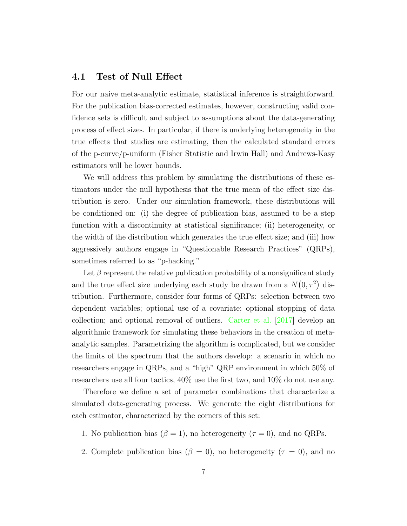#### 4.1 Test of Null Effect

For our naive meta-analytic estimate, statistical inference is straightforward. For the publication bias-corrected estimates, however, constructing valid confidence sets is difficult and subject to assumptions about the data-generating process of effect sizes. In particular, if there is underlying heterogeneity in the true effects that studies are estimating, then the calculated standard errors of the p-curve/p-uniform (Fisher Statistic and Irwin Hall) and Andrews-Kasy estimators will be lower bounds.

We will address this problem by simulating the distributions of these estimators under the null hypothesis that the true mean of the effect size distribution is zero. Under our simulation framework, these distributions will be conditioned on: (i) the degree of publication bias, assumed to be a step function with a discontinuity at statistical significance; (ii) heterogeneity, or the width of the distribution which generates the true effect size; and (iii) how aggressively authors engage in "Questionable Research Practices" (QRPs), sometimes referred to as "p-hacking."

Let  $\beta$  represent the relative publication probability of a nonsignificant study and the true effect size underlying each study be drawn from a  $N(0, \tau^2)$  distribution. Furthermore, consider four forms of QRPs: selection between two dependent variables; optional use of a covariate; optional stopping of data collection; and optional removal of outliers. [Carter et al.](#page-10-2) [\[2017\]](#page-10-2) develop an algorithmic framework for simulating these behaviors in the creation of metaanalytic samples. Parametrizing the algorithm is complicated, but we consider the limits of the spectrum that the authors develop: a scenario in which no researchers engage in QRPs, and a "high" QRP environment in which 50% of researchers use all four tactics, 40% use the first two, and 10% do not use any.

Therefore we define a set of parameter combinations that characterize a simulated data-generating process. We generate the eight distributions for each estimator, characterized by the corners of this set:

- 1. No publication bias  $(\beta = 1)$ , no heterogeneity  $(\tau = 0)$ , and no QRPs.
- 2. Complete publication bias ( $\beta = 0$ ), no heterogeneity ( $\tau = 0$ ), and no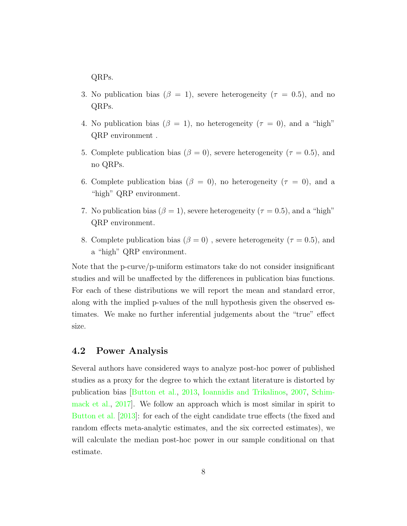QRPs.

- 3. No publication bias ( $\beta = 1$ ), severe heterogeneity ( $\tau = 0.5$ ), and no QRPs.
- 4. No publication bias ( $\beta = 1$ ), no heterogeneity ( $\tau = 0$ ), and a "high" QRP environment .
- 5. Complete publication bias ( $\beta = 0$ ), severe heterogeneity ( $\tau = 0.5$ ), and no QRPs.
- 6. Complete publication bias ( $\beta = 0$ ), no heterogeneity ( $\tau = 0$ ), and a "high" QRP environment.
- 7. No publication bias  $(\beta = 1)$ , severe heterogeneity ( $\tau = 0.5$ ), and a "high" QRP environment.
- 8. Complete publication bias ( $\beta = 0$ ), severe heterogeneity ( $\tau = 0.5$ ), and a "high" QRP environment.

Note that the p-curve/p-uniform estimators take do not consider insignificant studies and will be unaffected by the differences in publication bias functions. For each of these distributions we will report the mean and standard error, along with the implied p-values of the null hypothesis given the observed estimates. We make no further inferential judgements about the "true" effect size.

#### 4.2 Power Analysis

Several authors have considered ways to analyze post-hoc power of published studies as a proxy for the degree to which the extant literature is distorted by publication bias [\[Button et al.,](#page-10-4) [2013,](#page-10-4) [Ioannidis and Trikalinos,](#page-11-7) [2007,](#page-11-7) [Schim](#page-11-8)[mack et al.,](#page-11-8) [2017\]](#page-11-8). We follow an approach which is most similar in spirit to [Button et al.](#page-10-4) [\[2013\]](#page-10-4): for each of the eight candidate true effects (the fixed and random effects meta-analytic estimates, and the six corrected estimates), we will calculate the median post-hoc power in our sample conditional on that estimate.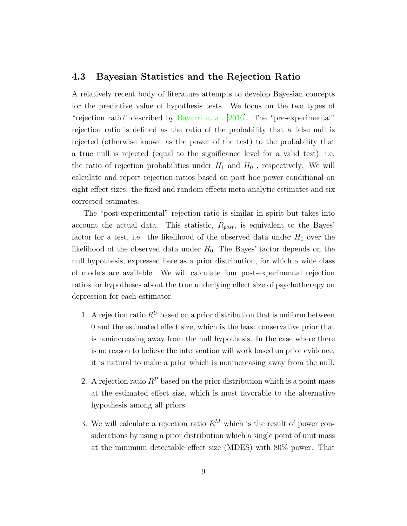#### 4.3 Bayesian Statistics and the Rejection Ratio

A relatively recent body of literature attempts to develop Bayesian concepts for the predictive value of hypothesis tests. We focus on the two types of "rejection ratio" described by [Bayarri et al.](#page-10-5) [\[2016\]](#page-10-5). The "pre-experimental" rejection ratio is defined as the ratio of the probability that a false null is rejected (otherwise known as the power of the test) to the probability that a true null is rejected (equal to the significance level for a valid test), i.e. the ratio of rejection probabilities under  $H_1$  and  $H_0$ , respectively. We will calculate and report rejection ratios based on post hoc power conditional on eight effect sizes: the fixed and random effects meta-analytic estimates and six corrected estimates.

The "post-experimental" rejection ratio is similar in spirit but takes into account the actual data. This statistic,  $R_{post}$ , is equivalent to the Bayes' factor for a test, i.e. the likelihood of the observed data under  $H_1$  over the likelihood of the observed data under  $H_0$ . The Bayes' factor depends on the null hypothesis, expressed here as a prior distribution, for which a wide class of models are available. We will calculate four post-experimental rejection ratios for hypotheses about the true underlying effect size of psychotherapy on depression for each estimator.

- 1. A rejection ratio  $R^U$  based on a prior distribution that is uniform between 0 and the estimated effect size, which is the least conservative prior that is nonincreasing away from the null hypothesis. In the case where there is no reason to believe the intervention will work based on prior evidence, it is natural to make a prior which is nonincreasing away from the null.
- 2. A rejection ratio  $R^P$  based on the prior distribution which is a point mass at the estimated effect size, which is most favorable to the alternative hypothesis among all priors.
- 3. We will calculate a rejection ratio  $R^M$  which is the result of power considerations by using a prior distribution which a single point of unit mass at the minimum detectable effect size (MDES) with 80% power. That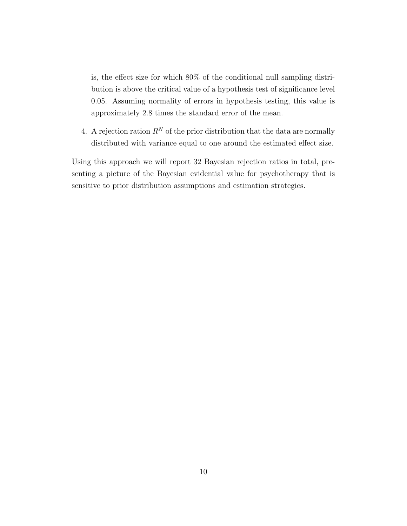is, the effect size for which 80% of the conditional null sampling distribution is above the critical value of a hypothesis test of significance level 0.05. Assuming normality of errors in hypothesis testing, this value is approximately 2.8 times the standard error of the mean.

4. A rejection ration  $R^N$  of the prior distribution that the data are normally distributed with variance equal to one around the estimated effect size.

Using this approach we will report 32 Bayesian rejection ratios in total, presenting a picture of the Bayesian evidential value for psychotherapy that is sensitive to prior distribution assumptions and estimation strategies.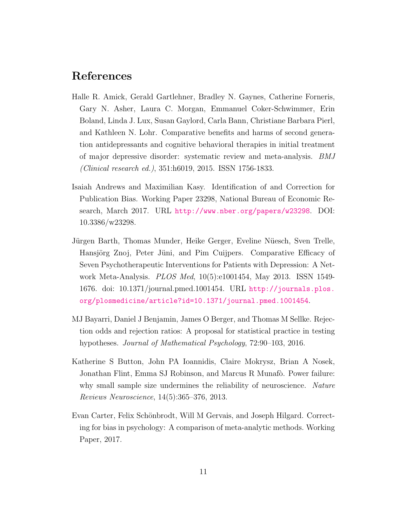# References

- <span id="page-10-1"></span>Halle R. Amick, Gerald Gartlehner, Bradley N. Gaynes, Catherine Forneris, Gary N. Asher, Laura C. Morgan, Emmanuel Coker-Schwimmer, Erin Boland, Linda J. Lux, Susan Gaylord, Carla Bann, Christiane Barbara Pierl, and Kathleen N. Lohr. Comparative benefits and harms of second generation antidepressants and cognitive behavioral therapies in initial treatment of major depressive disorder: systematic review and meta-analysis. BMJ (Clinical research ed.), 351:h6019, 2015. ISSN 1756-1833.
- <span id="page-10-3"></span>Isaiah Andrews and Maximilian Kasy. Identification of and Correction for Publication Bias. Working Paper 23298, National Bureau of Economic Research, March 2017. URL <http://www.nber.org/papers/w23298>. DOI: 10.3386/w23298.
- <span id="page-10-0"></span>Jürgen Barth, Thomas Munder, Heike Gerger, Eveline Nüesch, Sven Trelle, Hansjörg Znoj, Peter Jüni, and Pim Cuijpers. Comparative Efficacy of Seven Psychotherapeutic Interventions for Patients with Depression: A Network Meta-Analysis. PLOS Med, 10(5):e1001454, May 2013. ISSN 1549- 1676. doi: 10.1371/journal.pmed.1001454. URL [http://journals.plos.](http://journals.plos.org/plosmedicine/article?id=10.1371/journal.pmed.1001454) [org/plosmedicine/article?id=10.1371/journal.pmed.1001454](http://journals.plos.org/plosmedicine/article?id=10.1371/journal.pmed.1001454).
- <span id="page-10-5"></span>MJ Bayarri, Daniel J Benjamin, James O Berger, and Thomas M Sellke. Rejection odds and rejection ratios: A proposal for statistical practice in testing hypotheses. Journal of Mathematical Psychology, 72:90–103, 2016.
- <span id="page-10-4"></span>Katherine S Button, John PA Ioannidis, Claire Mokrysz, Brian A Nosek, Jonathan Flint, Emma SJ Robinson, and Marcus R Munafò. Power failure: why small sample size undermines the reliability of neuroscience. Nature Reviews Neuroscience, 14(5):365–376, 2013.
- <span id="page-10-2"></span>Evan Carter, Felix Schönbrodt, Will M Gervais, and Joseph Hilgard. Correcting for bias in psychology: A comparison of meta-analytic methods. Working Paper, 2017.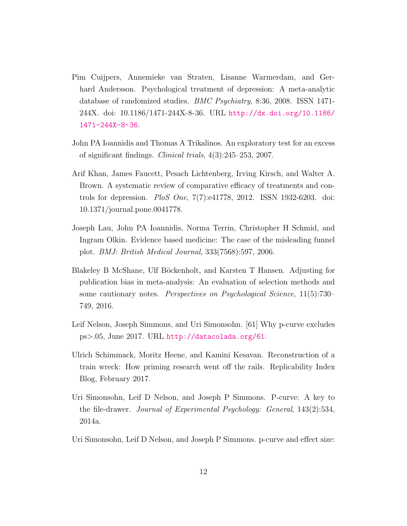- <span id="page-11-1"></span>Pim Cuijpers, Annemieke van Straten, Lisanne Warmerdam, and Gerhard Andersson. Psychological treatment of depression: A meta-analytic database of randomized studies. BMC Psychiatry, 8:36, 2008. ISSN 1471- 244X. doi: 10.1186/1471-244X-8-36. URL [http://dx.doi.org/10.1186/](http://dx.doi.org/10.1186/1471-244X-8-36) [1471-244X-8-36](http://dx.doi.org/10.1186/1471-244X-8-36).
- <span id="page-11-7"></span>John PA Ioannidis and Thomas A Trikalinos. An exploratory test for an excess of significant findings. Clinical trials, 4(3):245–253, 2007.
- <span id="page-11-0"></span>Arif Khan, James Faucett, Pesach Lichtenberg, Irving Kirsch, and Walter A. Brown. A systematic review of comparative efficacy of treatments and controls for depression. PloS One, 7(7):e41778, 2012. ISSN 1932-6203. doi: 10.1371/journal.pone.0041778.
- <span id="page-11-6"></span>Joseph Lau, John PA Ioannidis, Norma Terrin, Christopher H Schmid, and Ingram Olkin. Evidence based medicine: The case of the misleading funnel plot. BMJ: British Medical Journal, 333(7568):597, 2006.
- <span id="page-11-4"></span>Blakeley B McShane, Ulf Böckenholt, and Karsten T Hansen. Adjusting for publication bias in meta-analysis: An evaluation of selection methods and some cautionary notes. Perspectives on Psychological Science, 11(5):730– 749, 2016.
- <span id="page-11-5"></span>Leif Nelson, Joseph Simmons, and Uri Simonsohn. [61] Why p-curve excludes ps>.05, June 2017. URL <http://datacolada.org/61>.
- <span id="page-11-8"></span>Ulrich Schimmack, Moritz Heene, and Kamini Kesavan. Reconstruction of a train wreck: How priming research went off the rails. Replicability Index Blog, February 2017.
- <span id="page-11-3"></span>Uri Simonsohn, Leif D Nelson, and Joseph P Simmons. P-curve: A key to the file-drawer. Journal of Experimental Psychology: General, 143(2):534, 2014a.
- <span id="page-11-2"></span>Uri Simonsohn, Leif D Nelson, and Joseph P Simmons. p-curve and effect size: